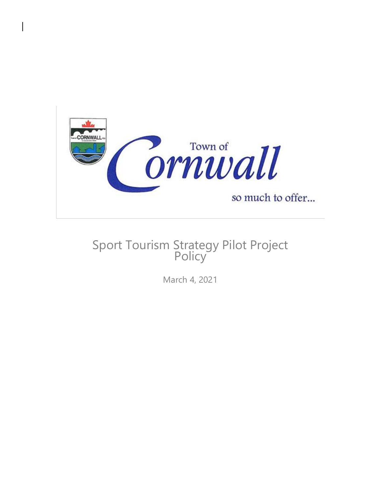

# Sport Tourism Strategy Pilot Project **Policy**

March 4, 2021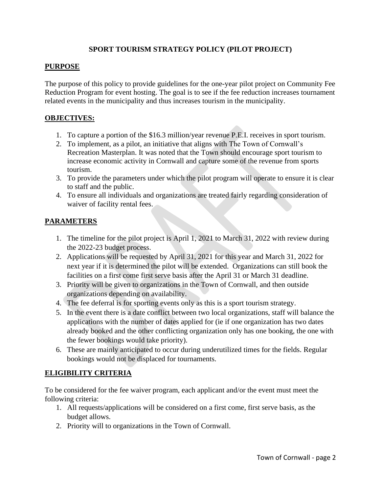### **SPORT TOURISM STRATEGY POLICY (PILOT PROJECT)**

#### **PURPOSE**

The purpose of this policy to provide guidelines for the one-year pilot project on Community Fee Reduction Program for event hosting. The goal is to see if the fee reduction increases tournament related events in the municipality and thus increases tourism in the municipality.

#### **OBJECTIVES:**

- 1. To capture a portion of the \$16.3 million/year revenue P.E.I. receives in sport tourism.
- 2. To implement, as a pilot, an initiative that aligns with The Town of Cornwall's Recreation Masterplan. It was noted that the Town should encourage sport tourism to increase economic activity in Cornwall and capture some of the revenue from sports tourism.
- 3. To provide the parameters under which the pilot program will operate to ensure it is clear to staff and the public.
- 4. To ensure all individuals and organizations are treated fairly regarding consideration of waiver of facility rental fees.

# **PARAMETERS**

- 1. The timeline for the pilot project is April 1, 2021 to March 31, 2022 with review during the 2022-23 budget process.
- 2. Applications will be requested by April 31, 2021 for this year and March 31, 2022 for next year if it is determined the pilot will be extended. Organizations can still book the facilities on a first come first serve basis after the April 31 or March 31 deadline.
- 3. Priority will be given to organizations in the Town of Cornwall, and then outside organizations depending on availability.
- 4. The fee deferral is for sporting events only as this is a sport tourism strategy.
- 5. In the event there is a date conflict between two local organizations, staff will balance the applications with the number of dates applied for (ie if one organization has two dates already booked and the other conflicting organization only has one booking, the one with the fewer bookings would take priority).
- 6. These are mainly anticipated to occur during underutilized times for the fields. Regular bookings would not be displaced for tournaments.

# **ELIGIBILITY CRITERIA**

To be considered for the fee waiver program, each applicant and/or the event must meet the following criteria:

- 1. All requests/applications will be considered on a first come, first serve basis, as the budget allows.
- 2. Priority will to organizations in the Town of Cornwall.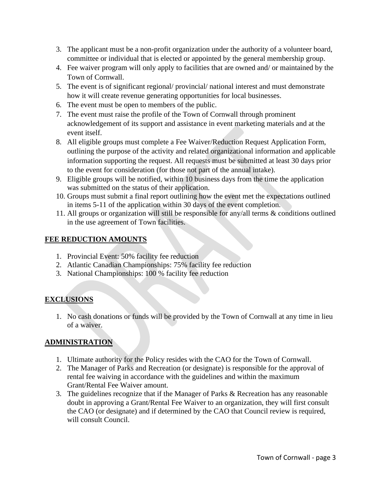- 3. The applicant must be a non-profit organization under the authority of a volunteer board, committee or individual that is elected or appointed by the general membership group.
- 4. Fee waiver program will only apply to facilities that are owned and/ or maintained by the Town of Cornwall.
- 5. The event is of significant regional/ provincial/ national interest and must demonstrate how it will create revenue generating opportunities for local businesses.
- 6. The event must be open to members of the public.
- 7. The event must raise the profile of the Town of Cornwall through prominent acknowledgement of its support and assistance in event marketing materials and at the event itself.
- 8. All eligible groups must complete a Fee Waiver/Reduction Request Application Form, outlining the purpose of the activity and related organizational information and applicable information supporting the request. All requests must be submitted at least 30 days prior to the event for consideration (for those not part of the annual intake).
- 9. Eligible groups will be notified, within 10 business days from the time the application was submitted on the status of their application.
- 10. Groups must submit a final report outlining how the event met the expectations outlined in items 5-11 of the application within 30 days of the event completion.
- 11. All groups or organization will still be responsible for any/all terms & conditions outlined in the use agreement of Town facilities.

#### **FEE REDUCTION AMOUNTS**

- 1. Provincial Event: 50% facility fee reduction
- 2. Atlantic Canadian Championships: 75% facility fee reduction
- 3. National Championships: 100 % facility fee reduction

# **EXCLUSIONS**

1. No cash donations or funds will be provided by the Town of Cornwall at any time in lieu of a waiver.

# **ADMINISTRATION**

- 1. Ultimate authority for the Policy resides with the CAO for the Town of Cornwall.
- 2. The Manager of Parks and Recreation (or designate) is responsible for the approval of rental fee waiving in accordance with the guidelines and within the maximum Grant/Rental Fee Waiver amount.
- 3. The guidelines recognize that if the Manager of Parks & Recreation has any reasonable doubt in approving a Grant/Rental Fee Waiver to an organization, they will first consult the CAO (or designate) and if determined by the CAO that Council review is required, will consult Council.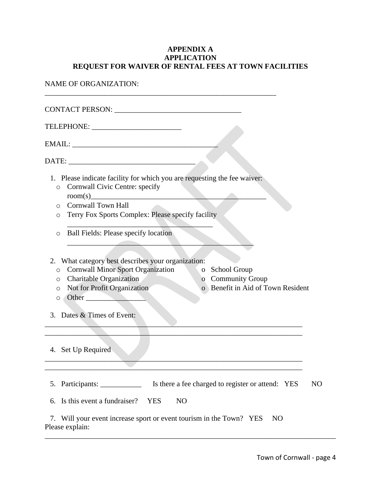### **APPENDIX A APPLICATION REQUEST FOR WAIVER OF RENTAL FEES AT TOWN FACILITIES**

NAME OF ORGANIZATION:

| CONTACT PERSON: New York CONTACT PERSON:                                                                                                                                                                                                                                                         |                |
|--------------------------------------------------------------------------------------------------------------------------------------------------------------------------------------------------------------------------------------------------------------------------------------------------|----------------|
|                                                                                                                                                                                                                                                                                                  |                |
|                                                                                                                                                                                                                                                                                                  |                |
| DATE: University of the contract of the contract of the contract of the contract of the contract of the contract of the contract of the contract of the contract of the contract of the contract of the contract of the contra                                                                   |                |
| 1. Please indicate facility for which you are requesting the fee waiver:<br>Cornwall Civic Centre: specify<br>$\circ$<br>o Cornwall Town Hall<br>Terry Fox Sports Complex: Please specify facility<br>$\circ$                                                                                    |                |
| <b>Ball Fields: Please specify location</b><br>$\circ$                                                                                                                                                                                                                                           |                |
| 2. What category best describes your organization:<br><b>Cornwall Minor Sport Organization</b><br>School Group<br>$\overline{O}$<br>$\circ$<br>o Charitable Organization<br>o Community Group<br>Not for Profit Organization<br>o Benefit in Aid of Town Resident<br>$\circ$<br>Other<br>$\circ$ |                |
| 3. Dates & Times of Event:                                                                                                                                                                                                                                                                       |                |
|                                                                                                                                                                                                                                                                                                  |                |
| 4. Set Up Required                                                                                                                                                                                                                                                                               |                |
|                                                                                                                                                                                                                                                                                                  |                |
| Is there a fee charged to register or attend: YES<br>5. Participants:                                                                                                                                                                                                                            | N <sub>O</sub> |
| 6. Is this event a fundraiser?<br><b>YES</b><br>N <sub>O</sub>                                                                                                                                                                                                                                   |                |
| 7. Will your event increase sport or event tourism in the Town? YES<br>N <sub>O</sub><br>Please explain:                                                                                                                                                                                         |                |

\_\_\_\_\_\_\_\_\_\_\_\_\_\_\_\_\_\_\_\_\_\_\_\_\_\_\_\_\_\_\_\_\_\_\_\_\_\_\_\_\_\_\_\_\_\_\_\_\_\_\_\_\_\_\_\_\_\_\_\_\_\_\_\_\_\_\_\_\_\_\_\_\_\_\_\_\_\_